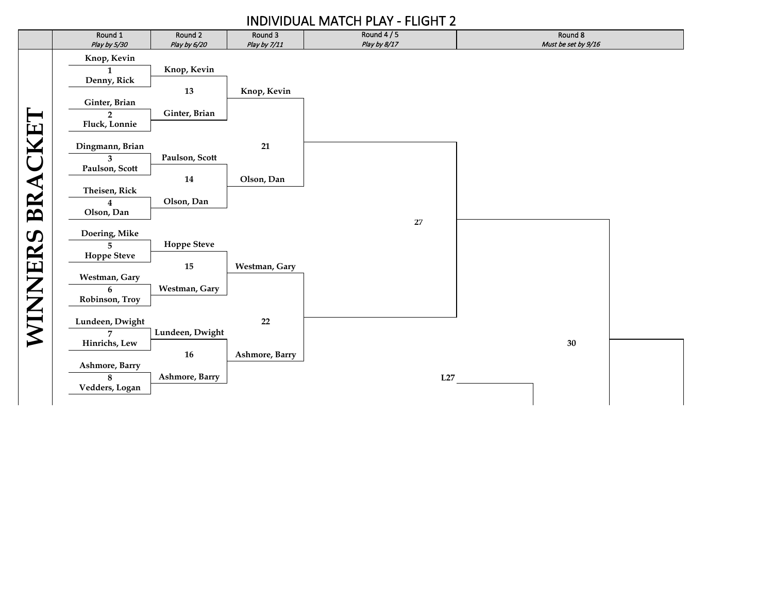